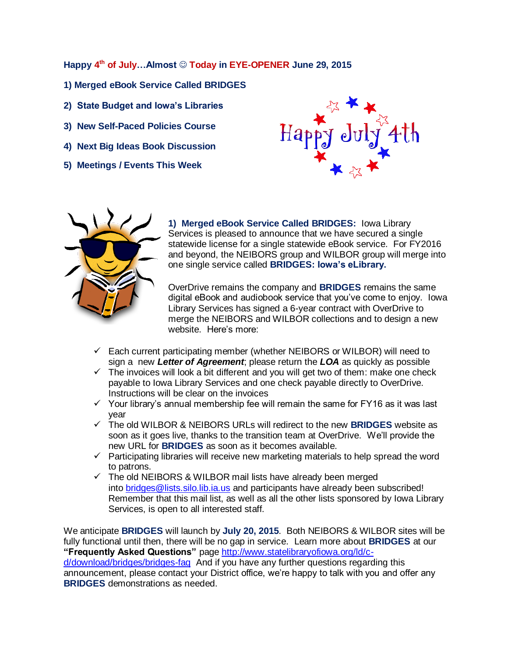**Happy 4 th of July…Almost Today in EYE-OPENER June 29, 2015**

- **1) Merged eBook Service Called BRIDGES**
- **2) State Budget and Iowa's Libraries**
- **3) New Self-Paced Policies Course**
- **4) Next Big Ideas Book Discussion**
- **5) Meetings / Events This Week**





**1) Merged eBook Service Called BRIDGES:** Iowa Library Services is pleased to announce that we have secured a single statewide license for a single statewide eBook service. For FY2016 and beyond, the NEIBORS group and WILBOR group will merge into one single service called **BRIDGES: Iowa's eLibrary.**

OverDrive remains the company and **BRIDGES** remains the same digital eBook and audiobook service that you've come to enjoy. Iowa Library Services has signed a 6-year contract with OverDrive to merge the NEIBORS and WILBOR collections and to design a new website. Here's more:

- $\checkmark$  Each current participating member (whether NEIBORS or WILBOR) will need to sign a new *Letter of Agreement*; please return the *LOA* as quickly as possible
- $\checkmark$  The invoices will look a bit different and you will get two of them: make one check payable to Iowa Library Services and one check payable directly to OverDrive. Instructions will be clear on the invoices
- $\checkmark$  Your library's annual membership fee will remain the same for FY16 as it was last year
- The old WILBOR & NEIBORS URLs will redirect to the new **BRIDGES** website as soon as it goes live, thanks to the transition team at OverDrive. We'll provide the new URL for **BRIDGES** as soon as it becomes available.
- $\checkmark$  Participating libraries will receive new marketing materials to help spread the word to patrons.
- $\checkmark$  The old NEIBORS & WILBOR mail lists have already been merged into [bridges@lists.silo.lib.ia.us](mailto:bridges@lists.silo.lib.ia.us) and participants have already been subscribed! Remember that this mail list, as well as all the other lists sponsored by Iowa Library Services, is open to all interested staff.

We anticipate **BRIDGES** will launch by **July 20, 2015**. Both NEIBORS & WILBOR sites will be fully functional until then, there will be no gap in service. Learn more about **BRIDGES** at our **"Frequently Asked Questions"** page [http://www.statelibraryofiowa.org/ld/c](http://www.statelibraryofiowa.org/ld/c-d/download/bridges/bridges-faq)[d/download/bridges/bridges-faq](http://www.statelibraryofiowa.org/ld/c-d/download/bridges/bridges-faq) And if you have any further questions regarding this

announcement, please contact your District office, we're happy to talk with you and offer any **BRIDGES** demonstrations as needed.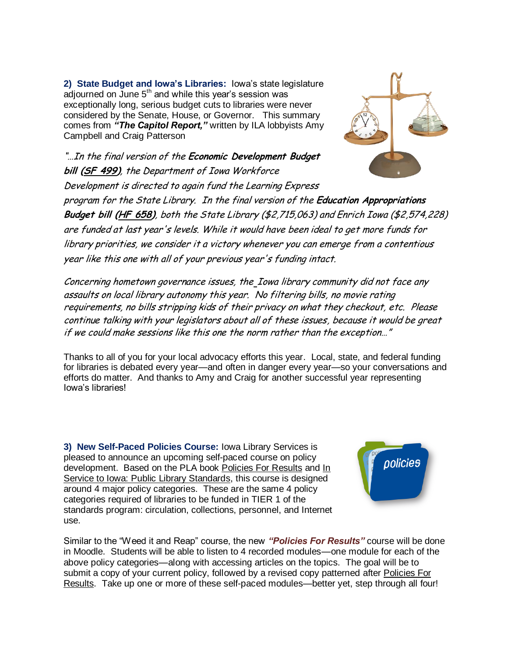**2) State Budget and Iowa's Libraries:** Iowa's state legislature  $a$ djourned on June  $5<sup>th</sup>$  and while this year's session was exceptionally long, serious budget cuts to libraries were never considered by the Senate, House, or Governor. This summary comes from *"The Capitol Report,"* written by ILA lobbyists Amy Campbell and Craig Patterson

"…In the final version of the **Economic Development Budget bill [\(SF 499\)](http://r20.rs6.net/tn.jsp?f=001tcuTk_GZVhZ3sWyOuwWU4Zpvkf-ACYkWVd69hPxhd-GcaCbiPWmiV1_E7FFxn32h-7lJpOYSutVJ4HOCMxT-9sY7JqEGdWA2PcnBm832Ugx2lkLa8dKxMzVOnKk3iYIp_RA69ccvP-qiprMHiqiXJPI9c3tLm7kZud8eV6p90xjpB1VoJyqh2NrL8q1Z1irTH8eY1PSjMHl3eGY6epEvLVmoeu_Va9hmgEMH9hoU0SnowUxxpiEXZm6-pj545LB0_3nHy30cEQY=&c=LpRHWq9wNbt6WFLj5xUTatcmJ2crhFdp6tXVW1XL9tSppQiiT5yQQQ==&ch=L0q7V9cqq-pcgtjjeINGDMKun2cQNppI1z5ga64hq7wdIhouqbnVLw==)**, the Department of Iowa Workforce Development is directed to again fund the Learning Express



program for the State Library. In the final version of the **Education Appropriations Budget bill [\(HF 658\)](http://r20.rs6.net/tn.jsp?f=001tcuTk_GZVhZ3sWyOuwWU4Zpvkf-ACYkWVd69hPxhd-GcaCbiPWmiV1_E7FFxn32h_NdF41JL_3oIADo6AD1ASB4EoU6ED5Xx6HY-EgBomVbRln9nd2mV08asgh40JUrNvudbq1X9V40yw7EL5512aw4YI4JNfBw_ATz0zHjELWzUQ04ByiaifjSPHmYbRruBLd2sKFhc94MtwHnzws7hZcZK3eAkIvNH6VmEBYpycZnAHSxpPYcyq2PLTHYnz2oUsIB8ZFrPLZQ=&c=LpRHWq9wNbt6WFLj5xUTatcmJ2crhFdp6tXVW1XL9tSppQiiT5yQQQ==&ch=L0q7V9cqq-pcgtjjeINGDMKun2cQNppI1z5ga64hq7wdIhouqbnVLw==)**, both the State Library (\$2,715,063) and Enrich Iowa (\$2,574,228) are funded at last year's levels. While it would have been ideal to get more funds for library priorities, we consider it a victory whenever you can emerge from a contentious year like this one with all of your previous year's funding intact.

Concerning hometown governance issues, the Iowa library community did not face any assaults on local library autonomy this year. No filtering bills, no movie rating requirements, no bills stripping kids of their privacy on what they checkout, etc. Please continue talking with your legislators about all of these issues, because it would be great if we could make sessions like this one the norm rather than the exception…"

Thanks to all of you for your local advocacy efforts this year. Local, state, and federal funding for libraries is debated every year—and often in danger every year—so your conversations and efforts do matter. And thanks to Amy and Craig for another successful year representing Iowa's libraries!

**3) New Self-Paced Policies Course:** Iowa Library Services is pleased to announce an upcoming self-paced course on policy development. Based on the PLA book Policies For Results and In Service to Iowa: Public Library Standards, this course is designed around 4 major policy categories. These are the same 4 policy categories required of libraries to be funded in TIER 1 of the standards program: circulation, collections, personnel, and Internet use.



Similar to the "Weed it and Reap" course, the new *"Policies For Results"* course will be done in Moodle. Students will be able to listen to 4 recorded modules—one module for each of the above policy categories—along with accessing articles on the topics. The goal will be to submit a copy of your current policy, followed by a revised copy patterned after Policies For Results. Take up one or more of these self-paced modules—better yet, step through all four!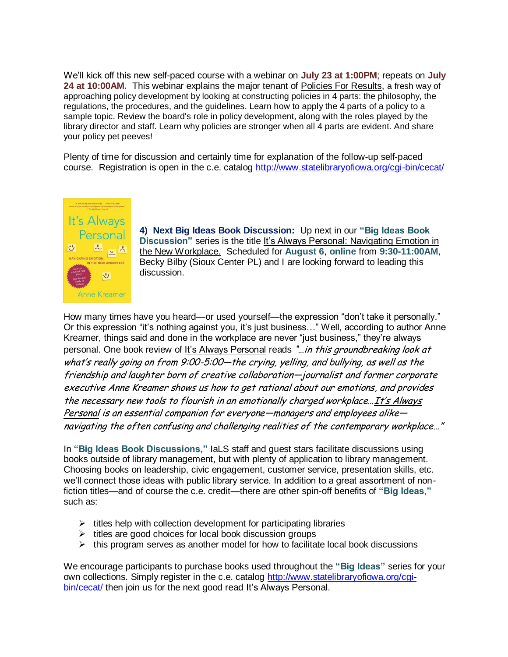We'll kick off this new self-paced course with a webinar on **July 23 at 1:00PM**; repeats on **July 24 at 10:00AM.** This webinar explains the major tenant of Policies For Results, a fresh way of approaching policy development by looking at constructing policies in 4 parts: the philosophy, the regulations, the procedures, and the guidelines. Learn how to apply the 4 parts of a policy to a sample topic. Review the board's role in policy development, along with the roles played by the library director and staff. Learn why policies are stronger when all 4 parts are evident. And share your policy pet peeves!

Plenty of time for discussion and certainly time for explanation of the follow-up self-paced course. Registration is open in the c.e. catalog<http://www.statelibraryofiowa.org/cgi-bin/cecat/>



**4) Next Big Ideas Book Discussion:** Up next in our **"Big Ideas Book Discussion"** series is the title It's Always Personal: Navigating Emotion in the New Workplace. Scheduled for **August 6**, **online** from **9:30-11:00AM**, Becky Bilby (Sioux Center PL) and I are looking forward to leading this discussion.

How many times have you heard—or used yourself—the expression "don't take it personally." Or this expression "it's nothing against you, it's just business…" Well, according to author Anne Kreamer, things said and done in the workplace are never "just business," they're always personal. One book review of It's Always Personal reads "...in this groundbreaking look at what's really going on from 9:00-5:00—the crying, yelling, and bullying, as well as the friendship and laughter born of creative collaboration—journalist and former corporate executive Anne Kreamer shows us how to get rational about our emotions, and provides the necessary new tools to flourish in an emotionally charged workplace…It's Always Personal is an essential companion for everyone—managers and employees alike navigating the often confusing and challenging realities of the contemporary workplace…"

In **"Big Ideas Book Discussions,"** IaLS staff and guest stars facilitate discussions using books outside of library management, but with plenty of application to library management. Choosing books on leadership, civic engagement, customer service, presentation skills, etc. we'll connect those ideas with public library service. In addition to a great assortment of nonfiction titles—and of course the c.e. credit—there are other spin-off benefits of **"Big Ideas,"** such as:

- $\triangleright$  titles help with collection development for participating libraries
- $\triangleright$  titles are good choices for local book discussion groups
- $\triangleright$  this program serves as another model for how to facilitate local book discussions

We encourage participants to purchase books used throughout the **"Big Ideas"** series for your own collections. Simply register in the c.e. catalog [http://www.statelibraryofiowa.org/cgi](http://www.statelibraryofiowa.org/cgi-bin/cecat/)[bin/cecat/](http://www.statelibraryofiowa.org/cgi-bin/cecat/) then join us for the next good read It's Always Personal.